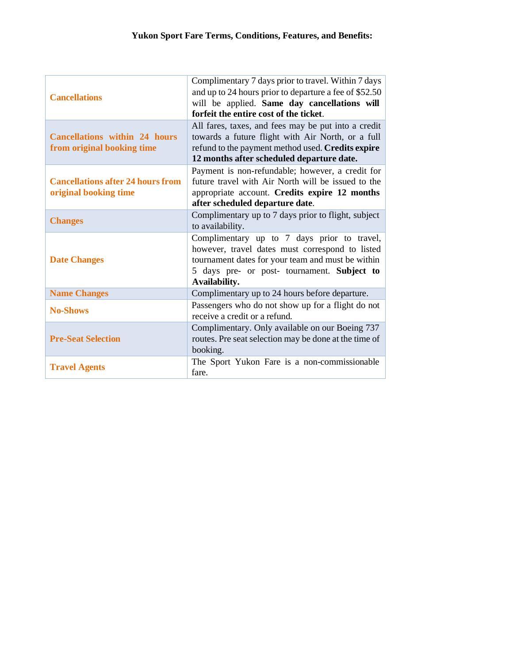| <b>Cancellations</b>                                               | Complimentary 7 days prior to travel. Within 7 days<br>and up to 24 hours prior to departure a fee of \$52.50<br>will be applied. Same day cancellations will<br>forfeit the entire cost of the ticket.             |
|--------------------------------------------------------------------|---------------------------------------------------------------------------------------------------------------------------------------------------------------------------------------------------------------------|
| <b>Cancellations within 24 hours</b><br>from original booking time | All fares, taxes, and fees may be put into a credit<br>towards a future flight with Air North, or a full<br>refund to the payment method used. Credits expire<br>12 months after scheduled departure date.          |
| <b>Cancellations after 24 hours from</b><br>original booking time  | Payment is non-refundable; however, a credit for<br>future travel with Air North will be issued to the<br>appropriate account. Credits expire 12 months<br>after scheduled departure date.                          |
| <b>Changes</b>                                                     | Complimentary up to 7 days prior to flight, subject<br>to availability.                                                                                                                                             |
| <b>Date Changes</b>                                                | Complimentary up to 7 days prior to travel,<br>however, travel dates must correspond to listed<br>tournament dates for your team and must be within<br>5 days pre- or post- tournament. Subject to<br>Availability. |
| <b>Name Changes</b>                                                | Complimentary up to 24 hours before departure.                                                                                                                                                                      |
| <b>No-Shows</b>                                                    | Passengers who do not show up for a flight do not<br>receive a credit or a refund.                                                                                                                                  |
| <b>Pre-Seat Selection</b>                                          | Complimentary. Only available on our Boeing 737<br>routes. Pre seat selection may be done at the time of<br>booking.                                                                                                |
| <b>Travel Agents</b>                                               | The Sport Yukon Fare is a non-commissionable<br>fare.                                                                                                                                                               |